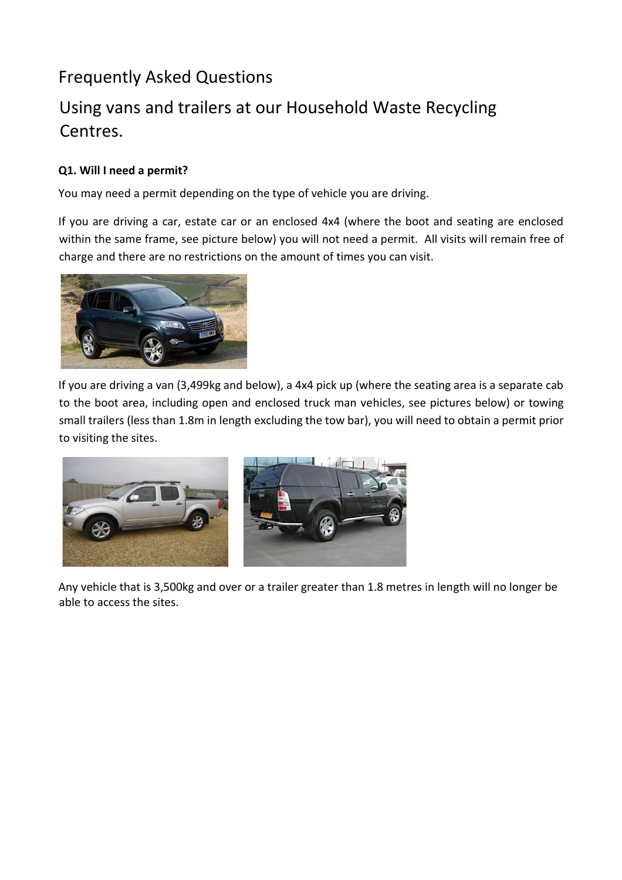# Frequently Asked Questions

# Using vans and trailers at our Household Waste Recycling Centres.

### **Q1. Will I need a permit?**

You may need a permit depending on the type of vehicle you are driving.

If you are driving a car, estate car or an enclosed 4x4 (where the boot and seating are enclosed within the same frame, see picture below) you will not need a permit. All visits will remain free of charge and there are no restrictions on the amount of times you can visit.



If you are driving a van (3,499kg and below), a 4x4 pick up (where the seating area is a separate cab to the boot area, including open and enclosed truck man vehicles, see pictures below) or towing small trailers (less than 1.8m in length excluding the tow bar), you will need to obtain a permit prior to visiting the sites.



Any vehicle that is 3,500kg and over or a trailer greater than 1.8 metres in length will no longer be able to access the sites.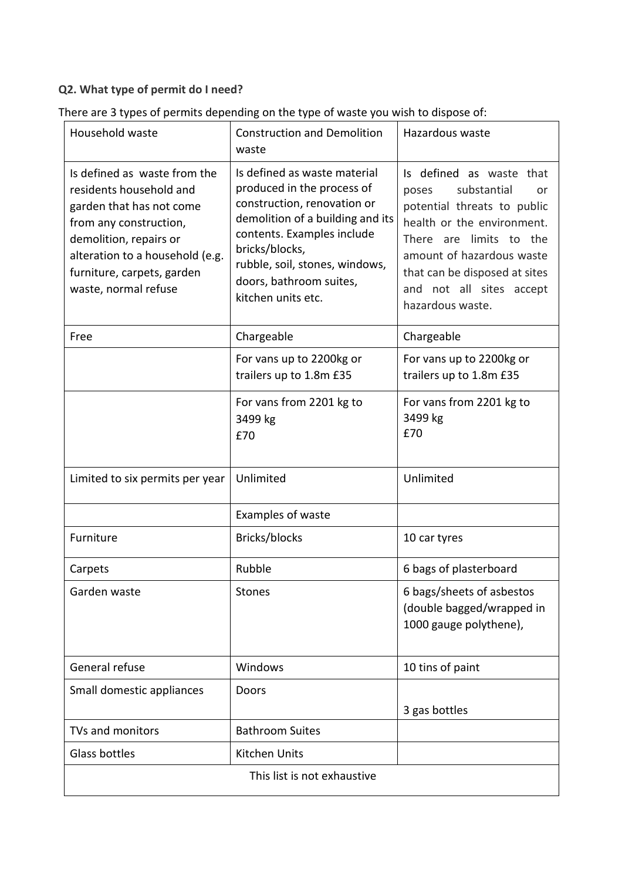## **Q2. What type of permit do I need?**

| Household waste                                                                                                                                                                                                                  | <b>Construction and Demolition</b><br>waste                                                                                                                                                                                                                      | Hazardous waste                                                                                                                                                                                                                                              |  |
|----------------------------------------------------------------------------------------------------------------------------------------------------------------------------------------------------------------------------------|------------------------------------------------------------------------------------------------------------------------------------------------------------------------------------------------------------------------------------------------------------------|--------------------------------------------------------------------------------------------------------------------------------------------------------------------------------------------------------------------------------------------------------------|--|
| Is defined as waste from the<br>residents household and<br>garden that has not come<br>from any construction,<br>demolition, repairs or<br>alteration to a household (e.g.<br>furniture, carpets, garden<br>waste, normal refuse | Is defined as waste material<br>produced in the process of<br>construction, renovation or<br>demolition of a building and its<br>contents. Examples include<br>bricks/blocks,<br>rubble, soil, stones, windows,<br>doors, bathroom suites,<br>kitchen units etc. | Is defined as waste that<br>substantial<br>poses<br>or<br>potential threats to public<br>health or the environment.<br>There are limits to the<br>amount of hazardous waste<br>that can be disposed at sites<br>and not all sites accept<br>hazardous waste. |  |
| Free                                                                                                                                                                                                                             | Chargeable                                                                                                                                                                                                                                                       | Chargeable                                                                                                                                                                                                                                                   |  |
|                                                                                                                                                                                                                                  | For vans up to 2200kg or<br>trailers up to 1.8m £35                                                                                                                                                                                                              | For vans up to 2200kg or<br>trailers up to 1.8m £35                                                                                                                                                                                                          |  |
|                                                                                                                                                                                                                                  | For vans from 2201 kg to<br>3499 kg<br>£70                                                                                                                                                                                                                       | For vans from 2201 kg to<br>3499 kg<br>£70                                                                                                                                                                                                                   |  |
| Limited to six permits per year                                                                                                                                                                                                  | Unlimited                                                                                                                                                                                                                                                        | Unlimited                                                                                                                                                                                                                                                    |  |
|                                                                                                                                                                                                                                  | Examples of waste                                                                                                                                                                                                                                                |                                                                                                                                                                                                                                                              |  |
| Furniture                                                                                                                                                                                                                        | Bricks/blocks                                                                                                                                                                                                                                                    | 10 car tyres                                                                                                                                                                                                                                                 |  |
| Carpets                                                                                                                                                                                                                          | Rubble                                                                                                                                                                                                                                                           | 6 bags of plasterboard                                                                                                                                                                                                                                       |  |
| Garden waste                                                                                                                                                                                                                     | Stones                                                                                                                                                                                                                                                           | 6 bags/sheets of asbestos<br>(double bagged/wrapped in<br>1000 gauge polythene),                                                                                                                                                                             |  |
| General refuse                                                                                                                                                                                                                   | Windows                                                                                                                                                                                                                                                          | 10 tins of paint                                                                                                                                                                                                                                             |  |
| Small domestic appliances                                                                                                                                                                                                        | Doors                                                                                                                                                                                                                                                            | 3 gas bottles                                                                                                                                                                                                                                                |  |
| TVs and monitors                                                                                                                                                                                                                 | <b>Bathroom Suites</b>                                                                                                                                                                                                                                           |                                                                                                                                                                                                                                                              |  |
| Glass bottles                                                                                                                                                                                                                    | Kitchen Units                                                                                                                                                                                                                                                    |                                                                                                                                                                                                                                                              |  |
|                                                                                                                                                                                                                                  | This list is not exhaustive                                                                                                                                                                                                                                      |                                                                                                                                                                                                                                                              |  |

| There are 3 types of permits depending on the type of waste you wish to dispose of: |  |  |  |
|-------------------------------------------------------------------------------------|--|--|--|